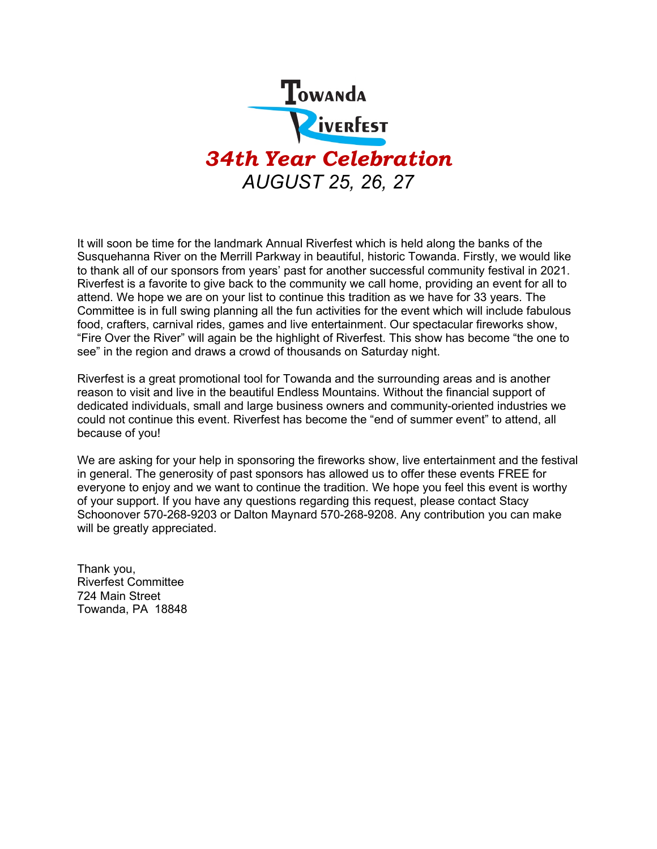

It will soon be time for the landmark Annual Riverfest which is held along the banks of the Susquehanna River on the Merrill Parkway in beautiful, historic Towanda. Firstly, we would like to thank all of our sponsors from years' past for another successful community festival in 2021. Riverfest is a favorite to give back to the community we call home, providing an event for all to attend. We hope we are on your list to continue this tradition as we have for 33 years. The Committee is in full swing planning all the fun activities for the event which will include fabulous food, crafters, carnival rides, games and live entertainment. Our spectacular fireworks show, "Fire Over the River" will again be the highlight of Riverfest. This show has become "the one to see" in the region and draws a crowd of thousands on Saturday night.

Riverfest is a great promotional tool for Towanda and the surrounding areas and is another reason to visit and live in the beautiful Endless Mountains. Without the financial support of dedicated individuals, small and large business owners and community-oriented industries we could not continue this event. Riverfest has become the "end of summer event" to attend, all because of you!

We are asking for your help in sponsoring the fireworks show, live entertainment and the festival in general. The generosity of past sponsors has allowed us to offer these events FREE for everyone to enjoy and we want to continue the tradition. We hope you feel this event is worthy of your support. If you have any questions regarding this request, please contact Stacy Schoonover 570-268-9203 or Dalton Maynard 570-268-9208. Any contribution you can make will be greatly appreciated.

Thank you, Riverfest Committee 724 Main Street Towanda, PA 18848